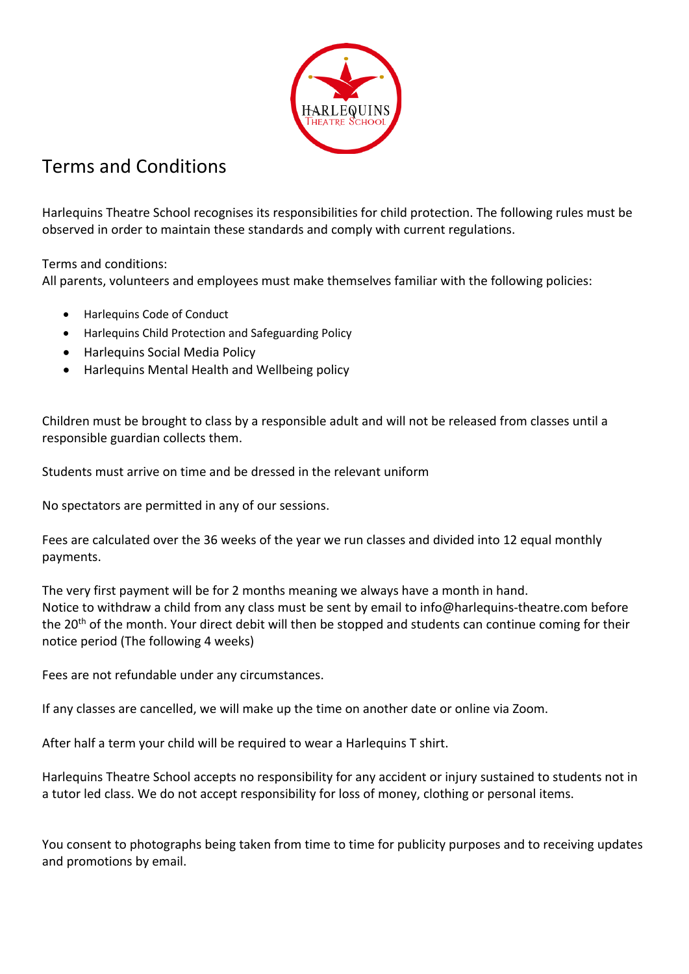

## Terms and Conditions

Harlequins Theatre School recognises its responsibilities for child protection. The following rules must be observed in order to maintain these standards and comply with current regulations.

Terms and conditions:

All parents, volunteers and employees must make themselves familiar with the following policies:

- Harlequins Code of Conduct
- Harlequins Child Protection and Safeguarding Policy
- Harlequins Social Media Policy
- Harlequins Mental Health and Wellbeing policy

Children must be brought to class by a responsible adult and will not be released from classes until a responsible guardian collects them.

Students must arrive on time and be dressed in the relevant uniform

No spectators are permitted in any of our sessions.

Fees are calculated over the 36 weeks of the year we run classes and divided into 12 equal monthly payments.

The very first payment will be for 2 months meaning we always have a month in hand. Notice to withdraw a child from any class must be sent by email to info@harlequins-theatre.com before the 20<sup>th</sup> of the month. Your direct debit will then be stopped and students can continue coming for their notice period (The following 4 weeks)

Fees are not refundable under any circumstances.

If any classes are cancelled, we will make up the time on another date or online via Zoom.

After half a term your child will be required to wear a Harlequins T shirt.

Harlequins Theatre School accepts no responsibility for any accident or injury sustained to students not in a tutor led class. We do not accept responsibility for loss of money, clothing or personal items.

You consent to photographs being taken from time to time for publicity purposes and to receiving updates and promotions by email.